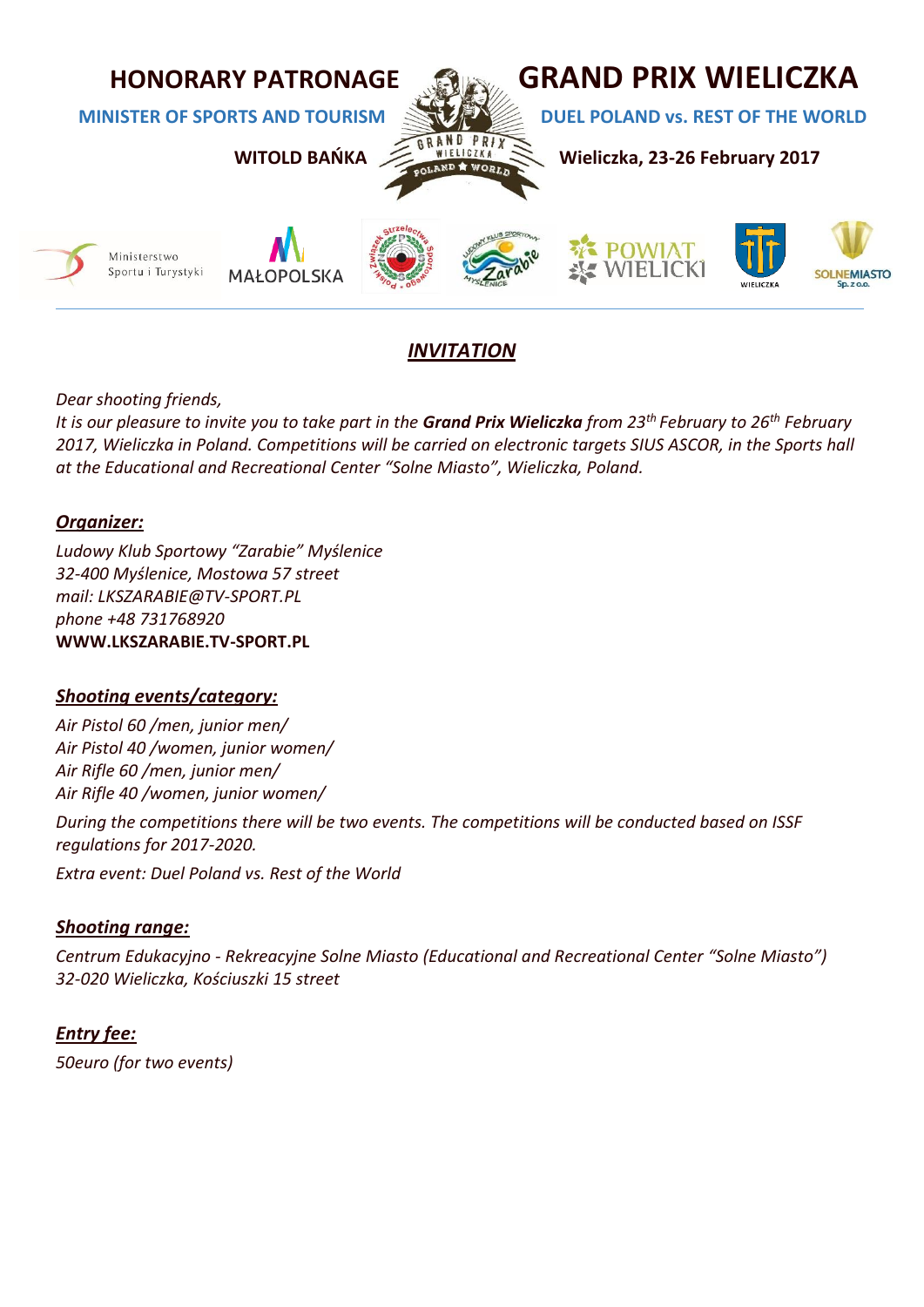

# *INVITATION*

*Dear shooting friends,*

*It is our pleasure to invite you to take part in the Grand Prix Wieliczka from 23th February to 26th February 2017, Wieliczka in Poland. Competitions will be carried on electronic targets SIUS ASCOR, in the Sports hall at the Educational and Recreational Center "Solne Miasto", Wieliczka, Poland.*

## *Organizer:*

*Ludowy Klub Sportowy "Zarabie" Myślenice 32-400 Myślenice, Mostowa 57 street mail: LKSZARABIE@TV-SPORT.PL phone +48 731768920* **WWW.LKSZARABIE.TV-SPORT.PL**

## *Shooting events/category:*

*Air Pistol 60 /men, junior men/ Air Pistol 40 /women, junior women/ Air Rifle 60 /men, junior men/ Air Rifle 40 /women, junior women/*

*During the competitions there will be two events. The competitions will be conducted based on ISSF regulations for 2017-2020.* 

*Extra event: Duel Poland vs. Rest of the World* 

## *Shooting range:*

*Centrum Edukacyjno - Rekreacyjne Solne Miasto (Educational and Recreational Center "Solne Miasto") 32-020 Wieliczka, Kościuszki 15 street*

*Entry fee: 50euro (for two events)*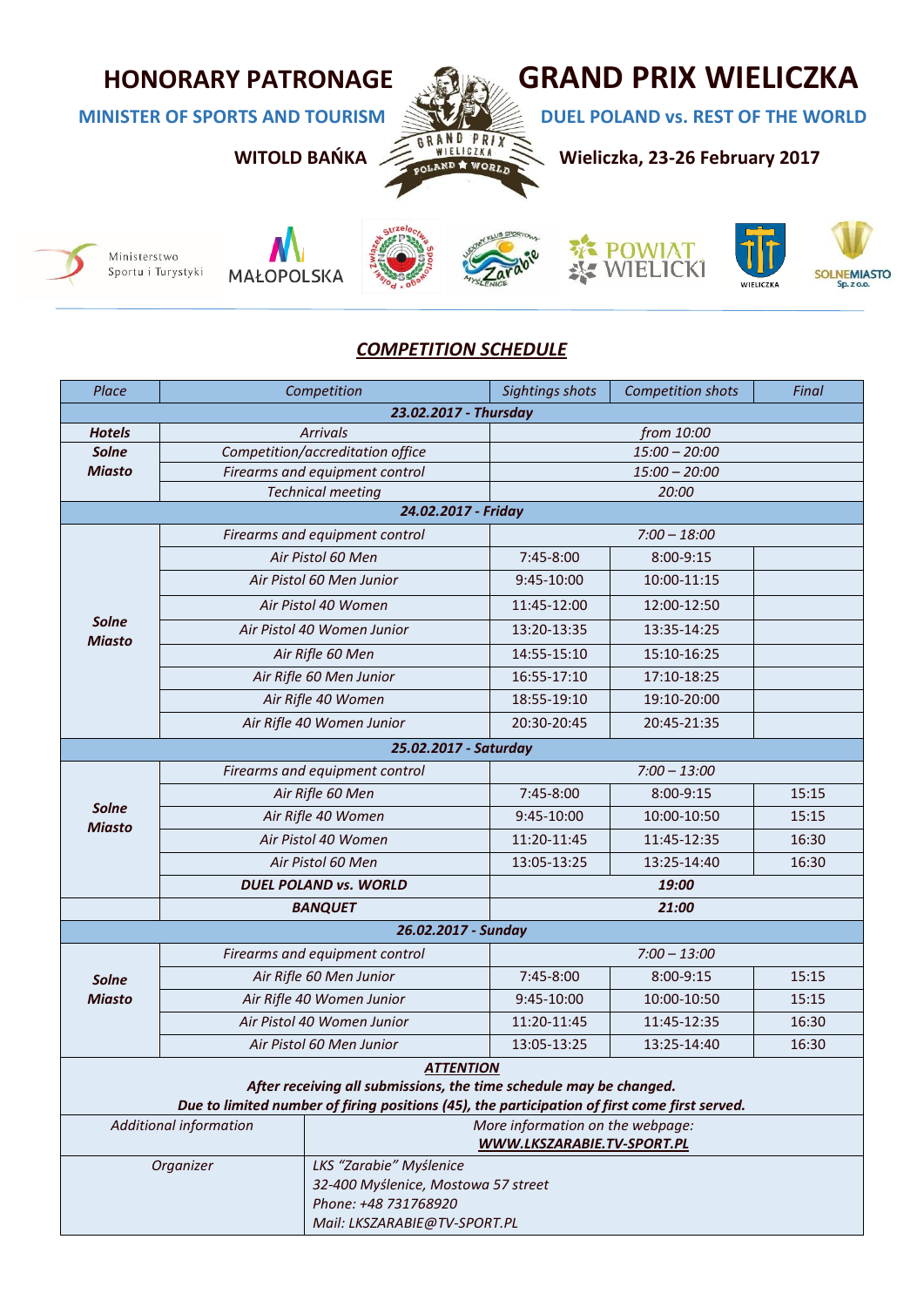

**MINISTER OF SPORTS AND TOURISM REST OF THE WORLD** 





**MAŁOPOLSKA** 









## *COMPETITION SCHEDULE*

| 23.02.2017 - Thursday<br><b>Arrivals</b><br>from 10:00<br><b>Hotels</b><br>Competition/accreditation office<br>$15:00 - 20:00$<br><b>Solne</b><br><b>Miasto</b><br>Firearms and equipment control<br>$15:00 - 20:00$<br><b>Technical meeting</b><br>20:00<br>24.02.2017 - Friday<br>Firearms and equipment control<br>$7:00 - 18:00$<br>Air Pistol 60 Men<br>7:45-8:00<br>8:00-9:15<br>Air Pistol 60 Men Junior<br>9:45-10:00<br>10:00-11:15<br>Air Pistol 40 Women<br>11:45-12:00<br>12:00-12:50<br><b>Solne</b><br>13:35-14:25<br>Air Pistol 40 Women Junior<br>13:20-13:35<br><b>Miasto</b><br>Air Rifle 60 Men<br>14:55-15:10<br>15:10-16:25<br>16:55-17:10<br>17:10-18:25<br>Air Rifle 60 Men Junior<br>18:55-19:10<br>Air Rifle 40 Women<br>19:10-20:00<br>Air Rifle 40 Women Junior<br>20:30-20:45<br>20:45-21:35<br>25.02.2017 - Saturday<br>$7:00 - 13:00$<br>Firearms and equipment control<br>Air Rifle 60 Men<br>7:45-8:00<br>8:00-9:15<br>15:15<br><b>Solne</b><br>Air Rifle 40 Women<br>10:00-10:50<br>9:45-10:00<br>15:15<br><b>Miasto</b><br>Air Pistol 40 Women<br>11:20-11:45<br>11:45-12:35<br>16:30<br>13:05-13:25<br>13:25-14:40<br>16:30<br>Air Pistol 60 Men<br><b>DUEL POLAND vs. WORLD</b><br>19:00<br>21:00<br><b>BANQUET</b><br>26.02.2017 - Sunday<br>Firearms and equipment control<br>$7:00 - 13:00$<br>Air Rifle 60 Men Junior<br>7:45-8:00<br>8:00-9:15<br>15:15<br><b>Solne</b><br><b>Miasto</b><br>Air Rifle 40 Women Junior<br>9:45-10:00<br>10:00-10:50<br>15:15<br>Air Pistol 40 Women Junior<br>11:20-11:45<br>11:45-12:35<br>16:30<br>Air Pistol 60 Men Junior<br>13:05-13:25<br>13:25-14:40<br>16:30<br><b>ATTENTION</b><br>After receiving all submissions, the time schedule may be changed.<br>Due to limited number of firing positions (45), the participation of first come first served.<br><b>Additional information</b><br>More information on the webpage: | Place | Competition |                            | <b>Sightings shots</b> | <b>Competition shots</b> | Final |  |
|--------------------------------------------------------------------------------------------------------------------------------------------------------------------------------------------------------------------------------------------------------------------------------------------------------------------------------------------------------------------------------------------------------------------------------------------------------------------------------------------------------------------------------------------------------------------------------------------------------------------------------------------------------------------------------------------------------------------------------------------------------------------------------------------------------------------------------------------------------------------------------------------------------------------------------------------------------------------------------------------------------------------------------------------------------------------------------------------------------------------------------------------------------------------------------------------------------------------------------------------------------------------------------------------------------------------------------------------------------------------------------------------------------------------------------------------------------------------------------------------------------------------------------------------------------------------------------------------------------------------------------------------------------------------------------------------------------------------------------------------------------------------------------------------------------------------------------------------------------------------------------------------------------------|-------|-------------|----------------------------|------------------------|--------------------------|-------|--|
|                                                                                                                                                                                                                                                                                                                                                                                                                                                                                                                                                                                                                                                                                                                                                                                                                                                                                                                                                                                                                                                                                                                                                                                                                                                                                                                                                                                                                                                                                                                                                                                                                                                                                                                                                                                                                                                                                                              |       |             |                            |                        |                          |       |  |
|                                                                                                                                                                                                                                                                                                                                                                                                                                                                                                                                                                                                                                                                                                                                                                                                                                                                                                                                                                                                                                                                                                                                                                                                                                                                                                                                                                                                                                                                                                                                                                                                                                                                                                                                                                                                                                                                                                              |       |             |                            |                        |                          |       |  |
|                                                                                                                                                                                                                                                                                                                                                                                                                                                                                                                                                                                                                                                                                                                                                                                                                                                                                                                                                                                                                                                                                                                                                                                                                                                                                                                                                                                                                                                                                                                                                                                                                                                                                                                                                                                                                                                                                                              |       |             |                            |                        |                          |       |  |
|                                                                                                                                                                                                                                                                                                                                                                                                                                                                                                                                                                                                                                                                                                                                                                                                                                                                                                                                                                                                                                                                                                                                                                                                                                                                                                                                                                                                                                                                                                                                                                                                                                                                                                                                                                                                                                                                                                              |       |             |                            |                        |                          |       |  |
|                                                                                                                                                                                                                                                                                                                                                                                                                                                                                                                                                                                                                                                                                                                                                                                                                                                                                                                                                                                                                                                                                                                                                                                                                                                                                                                                                                                                                                                                                                                                                                                                                                                                                                                                                                                                                                                                                                              |       |             |                            |                        |                          |       |  |
|                                                                                                                                                                                                                                                                                                                                                                                                                                                                                                                                                                                                                                                                                                                                                                                                                                                                                                                                                                                                                                                                                                                                                                                                                                                                                                                                                                                                                                                                                                                                                                                                                                                                                                                                                                                                                                                                                                              |       |             |                            |                        |                          |       |  |
|                                                                                                                                                                                                                                                                                                                                                                                                                                                                                                                                                                                                                                                                                                                                                                                                                                                                                                                                                                                                                                                                                                                                                                                                                                                                                                                                                                                                                                                                                                                                                                                                                                                                                                                                                                                                                                                                                                              |       |             |                            |                        |                          |       |  |
|                                                                                                                                                                                                                                                                                                                                                                                                                                                                                                                                                                                                                                                                                                                                                                                                                                                                                                                                                                                                                                                                                                                                                                                                                                                                                                                                                                                                                                                                                                                                                                                                                                                                                                                                                                                                                                                                                                              |       |             |                            |                        |                          |       |  |
|                                                                                                                                                                                                                                                                                                                                                                                                                                                                                                                                                                                                                                                                                                                                                                                                                                                                                                                                                                                                                                                                                                                                                                                                                                                                                                                                                                                                                                                                                                                                                                                                                                                                                                                                                                                                                                                                                                              |       |             |                            |                        |                          |       |  |
|                                                                                                                                                                                                                                                                                                                                                                                                                                                                                                                                                                                                                                                                                                                                                                                                                                                                                                                                                                                                                                                                                                                                                                                                                                                                                                                                                                                                                                                                                                                                                                                                                                                                                                                                                                                                                                                                                                              |       |             |                            |                        |                          |       |  |
|                                                                                                                                                                                                                                                                                                                                                                                                                                                                                                                                                                                                                                                                                                                                                                                                                                                                                                                                                                                                                                                                                                                                                                                                                                                                                                                                                                                                                                                                                                                                                                                                                                                                                                                                                                                                                                                                                                              |       |             |                            |                        |                          |       |  |
|                                                                                                                                                                                                                                                                                                                                                                                                                                                                                                                                                                                                                                                                                                                                                                                                                                                                                                                                                                                                                                                                                                                                                                                                                                                                                                                                                                                                                                                                                                                                                                                                                                                                                                                                                                                                                                                                                                              |       |             |                            |                        |                          |       |  |
|                                                                                                                                                                                                                                                                                                                                                                                                                                                                                                                                                                                                                                                                                                                                                                                                                                                                                                                                                                                                                                                                                                                                                                                                                                                                                                                                                                                                                                                                                                                                                                                                                                                                                                                                                                                                                                                                                                              |       |             |                            |                        |                          |       |  |
|                                                                                                                                                                                                                                                                                                                                                                                                                                                                                                                                                                                                                                                                                                                                                                                                                                                                                                                                                                                                                                                                                                                                                                                                                                                                                                                                                                                                                                                                                                                                                                                                                                                                                                                                                                                                                                                                                                              |       |             |                            |                        |                          |       |  |
|                                                                                                                                                                                                                                                                                                                                                                                                                                                                                                                                                                                                                                                                                                                                                                                                                                                                                                                                                                                                                                                                                                                                                                                                                                                                                                                                                                                                                                                                                                                                                                                                                                                                                                                                                                                                                                                                                                              |       |             |                            |                        |                          |       |  |
|                                                                                                                                                                                                                                                                                                                                                                                                                                                                                                                                                                                                                                                                                                                                                                                                                                                                                                                                                                                                                                                                                                                                                                                                                                                                                                                                                                                                                                                                                                                                                                                                                                                                                                                                                                                                                                                                                                              |       |             |                            |                        |                          |       |  |
|                                                                                                                                                                                                                                                                                                                                                                                                                                                                                                                                                                                                                                                                                                                                                                                                                                                                                                                                                                                                                                                                                                                                                                                                                                                                                                                                                                                                                                                                                                                                                                                                                                                                                                                                                                                                                                                                                                              |       |             |                            |                        |                          |       |  |
|                                                                                                                                                                                                                                                                                                                                                                                                                                                                                                                                                                                                                                                                                                                                                                                                                                                                                                                                                                                                                                                                                                                                                                                                                                                                                                                                                                                                                                                                                                                                                                                                                                                                                                                                                                                                                                                                                                              |       |             |                            |                        |                          |       |  |
|                                                                                                                                                                                                                                                                                                                                                                                                                                                                                                                                                                                                                                                                                                                                                                                                                                                                                                                                                                                                                                                                                                                                                                                                                                                                                                                                                                                                                                                                                                                                                                                                                                                                                                                                                                                                                                                                                                              |       |             |                            |                        |                          |       |  |
|                                                                                                                                                                                                                                                                                                                                                                                                                                                                                                                                                                                                                                                                                                                                                                                                                                                                                                                                                                                                                                                                                                                                                                                                                                                                                                                                                                                                                                                                                                                                                                                                                                                                                                                                                                                                                                                                                                              |       |             |                            |                        |                          |       |  |
|                                                                                                                                                                                                                                                                                                                                                                                                                                                                                                                                                                                                                                                                                                                                                                                                                                                                                                                                                                                                                                                                                                                                                                                                                                                                                                                                                                                                                                                                                                                                                                                                                                                                                                                                                                                                                                                                                                              |       |             |                            |                        |                          |       |  |
|                                                                                                                                                                                                                                                                                                                                                                                                                                                                                                                                                                                                                                                                                                                                                                                                                                                                                                                                                                                                                                                                                                                                                                                                                                                                                                                                                                                                                                                                                                                                                                                                                                                                                                                                                                                                                                                                                                              |       |             |                            |                        |                          |       |  |
|                                                                                                                                                                                                                                                                                                                                                                                                                                                                                                                                                                                                                                                                                                                                                                                                                                                                                                                                                                                                                                                                                                                                                                                                                                                                                                                                                                                                                                                                                                                                                                                                                                                                                                                                                                                                                                                                                                              |       |             |                            |                        |                          |       |  |
|                                                                                                                                                                                                                                                                                                                                                                                                                                                                                                                                                                                                                                                                                                                                                                                                                                                                                                                                                                                                                                                                                                                                                                                                                                                                                                                                                                                                                                                                                                                                                                                                                                                                                                                                                                                                                                                                                                              |       |             |                            |                        |                          |       |  |
|                                                                                                                                                                                                                                                                                                                                                                                                                                                                                                                                                                                                                                                                                                                                                                                                                                                                                                                                                                                                                                                                                                                                                                                                                                                                                                                                                                                                                                                                                                                                                                                                                                                                                                                                                                                                                                                                                                              |       |             |                            |                        |                          |       |  |
|                                                                                                                                                                                                                                                                                                                                                                                                                                                                                                                                                                                                                                                                                                                                                                                                                                                                                                                                                                                                                                                                                                                                                                                                                                                                                                                                                                                                                                                                                                                                                                                                                                                                                                                                                                                                                                                                                                              |       |             |                            |                        |                          |       |  |
|                                                                                                                                                                                                                                                                                                                                                                                                                                                                                                                                                                                                                                                                                                                                                                                                                                                                                                                                                                                                                                                                                                                                                                                                                                                                                                                                                                                                                                                                                                                                                                                                                                                                                                                                                                                                                                                                                                              |       |             |                            |                        |                          |       |  |
|                                                                                                                                                                                                                                                                                                                                                                                                                                                                                                                                                                                                                                                                                                                                                                                                                                                                                                                                                                                                                                                                                                                                                                                                                                                                                                                                                                                                                                                                                                                                                                                                                                                                                                                                                                                                                                                                                                              |       |             |                            |                        |                          |       |  |
|                                                                                                                                                                                                                                                                                                                                                                                                                                                                                                                                                                                                                                                                                                                                                                                                                                                                                                                                                                                                                                                                                                                                                                                                                                                                                                                                                                                                                                                                                                                                                                                                                                                                                                                                                                                                                                                                                                              |       |             |                            |                        |                          |       |  |
|                                                                                                                                                                                                                                                                                                                                                                                                                                                                                                                                                                                                                                                                                                                                                                                                                                                                                                                                                                                                                                                                                                                                                                                                                                                                                                                                                                                                                                                                                                                                                                                                                                                                                                                                                                                                                                                                                                              |       |             |                            |                        |                          |       |  |
|                                                                                                                                                                                                                                                                                                                                                                                                                                                                                                                                                                                                                                                                                                                                                                                                                                                                                                                                                                                                                                                                                                                                                                                                                                                                                                                                                                                                                                                                                                                                                                                                                                                                                                                                                                                                                                                                                                              |       |             |                            |                        |                          |       |  |
|                                                                                                                                                                                                                                                                                                                                                                                                                                                                                                                                                                                                                                                                                                                                                                                                                                                                                                                                                                                                                                                                                                                                                                                                                                                                                                                                                                                                                                                                                                                                                                                                                                                                                                                                                                                                                                                                                                              |       |             |                            |                        |                          |       |  |
|                                                                                                                                                                                                                                                                                                                                                                                                                                                                                                                                                                                                                                                                                                                                                                                                                                                                                                                                                                                                                                                                                                                                                                                                                                                                                                                                                                                                                                                                                                                                                                                                                                                                                                                                                                                                                                                                                                              |       |             |                            |                        |                          |       |  |
|                                                                                                                                                                                                                                                                                                                                                                                                                                                                                                                                                                                                                                                                                                                                                                                                                                                                                                                                                                                                                                                                                                                                                                                                                                                                                                                                                                                                                                                                                                                                                                                                                                                                                                                                                                                                                                                                                                              |       |             | WWW.LKSZARABIE.TV-SPORT.PL |                        |                          |       |  |
| LKS "Zarabie" Myślenice<br>Organizer                                                                                                                                                                                                                                                                                                                                                                                                                                                                                                                                                                                                                                                                                                                                                                                                                                                                                                                                                                                                                                                                                                                                                                                                                                                                                                                                                                                                                                                                                                                                                                                                                                                                                                                                                                                                                                                                         |       |             |                            |                        |                          |       |  |
| 32-400 Myślenice, Mostowa 57 street<br>Phone: +48 731768920                                                                                                                                                                                                                                                                                                                                                                                                                                                                                                                                                                                                                                                                                                                                                                                                                                                                                                                                                                                                                                                                                                                                                                                                                                                                                                                                                                                                                                                                                                                                                                                                                                                                                                                                                                                                                                                  |       |             |                            |                        |                          |       |  |
| Mail: LKSZARABIE@TV-SPORT.PL                                                                                                                                                                                                                                                                                                                                                                                                                                                                                                                                                                                                                                                                                                                                                                                                                                                                                                                                                                                                                                                                                                                                                                                                                                                                                                                                                                                                                                                                                                                                                                                                                                                                                                                                                                                                                                                                                 |       |             |                            |                        |                          |       |  |